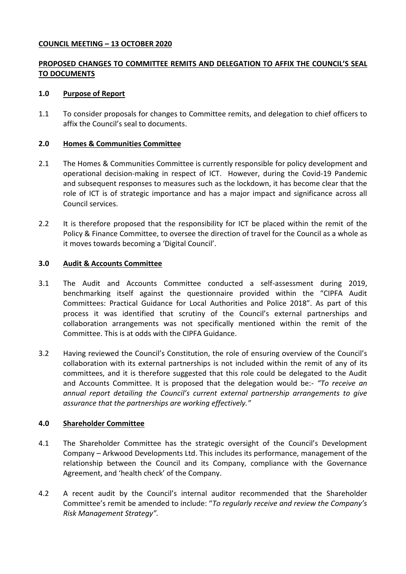#### **COUNCIL MEETING – 13 OCTOBER 2020**

# **PROPOSED CHANGES TO COMMITTEE REMITS AND DELEGATION TO AFFIX THE COUNCIL'S SEAL TO DOCUMENTS**

#### **1.0 Purpose of Report**

1.1 To consider proposals for changes to Committee remits, and delegation to chief officers to affix the Council's seal to documents.

#### **2.0 Homes & Communities Committee**

- 2.1 The Homes & Communities Committee is currently responsible for policy development and operational decision-making in respect of ICT. However, during the Covid-19 Pandemic and subsequent responses to measures such as the lockdown, it has become clear that the role of ICT is of strategic importance and has a major impact and significance across all Council services.
- 2.2 It is therefore proposed that the responsibility for ICT be placed within the remit of the Policy & Finance Committee, to oversee the direction of travel for the Council as a whole as it moves towards becoming a 'Digital Council'.

#### **3.0 Audit & Accounts Committee**

- 3.1 The Audit and Accounts Committee conducted a self-assessment during 2019, benchmarking itself against the questionnaire provided within the "CIPFA Audit Committees: Practical Guidance for Local Authorities and Police 2018". As part of this process it was identified that scrutiny of the Council's external partnerships and collaboration arrangements was not specifically mentioned within the remit of the Committee. This is at odds with the CIPFA Guidance.
- 3.2 Having reviewed the Council's Constitution, the role of ensuring overview of the Council's collaboration with its external partnerships is not included within the remit of any of its committees, and it is therefore suggested that this role could be delegated to the Audit and Accounts Committee. It is proposed that the delegation would be:- *"To receive an annual report detailing the Council's current external partnership arrangements to give assurance that the partnerships are working effectively."*

## **4.0 Shareholder Committee**

- 4.1 The Shareholder Committee has the strategic oversight of the Council's Development Company – Arkwood Developments Ltd. This includes its performance, management of the relationship between the Council and its Company, compliance with the Governance Agreement, and 'health check' of the Company.
- 4.2 A recent audit by the Council's internal auditor recommended that the Shareholder Committee's remit be amended to include: "*To regularly receive and review the Company's Risk Management Strategy".*